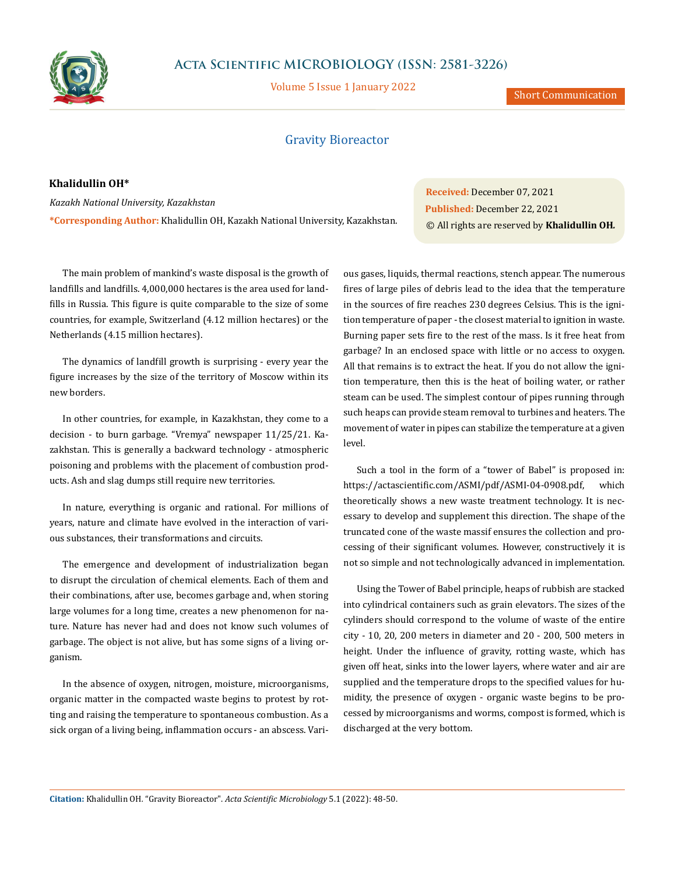

# **Acta Scientific MICROBIOLOGY (ISSN: 2581-3226)**

Volume 5 Issue 1 January 2022

Short Communication

## Gravity Bioreactor

### **Khalidullin OH\***

*Kazakh National University, Kazakhstan* **\*Corresponding Author:** Khalidullin OH, Kazakh National University, Kazakhstan. **Received:** December 07, 2021 **Published:** December 22, 2021 © All rights are reserved by **Khalidullin OH***.*

The main problem of mankind's waste disposal is the growth of landfills and landfills. 4,000,000 hectares is the area used for landfills in Russia. This figure is quite comparable to the size of some countries, for example, Switzerland (4.12 million hectares) or the Netherlands (4.15 million hectares).

The dynamics of landfill growth is surprising - every year the figure increases by the size of the territory of Moscow within its new borders.

In other countries, for example, in Kazakhstan, they come to a decision - to burn garbage. "Vremya" newspaper 11/25/21. Kazakhstan. This is generally a backward technology - atmospheric poisoning and problems with the placement of combustion products. Ash and slag dumps still require new territories.

In nature, everything is organic and rational. For millions of years, nature and climate have evolved in the interaction of various substances, their transformations and circuits.

The emergence and development of industrialization began to disrupt the circulation of chemical elements. Each of them and their combinations, after use, becomes garbage and, when storing large volumes for a long time, creates a new phenomenon for nature. Nature has never had and does not know such volumes of garbage. The object is not alive, but has some signs of a living organism.

In the absence of oxygen, nitrogen, moisture, microorganisms, organic matter in the compacted waste begins to protest by rotting and raising the temperature to spontaneous combustion. As a sick organ of a living being, inflammation occurs - an abscess. Vari-

ous gases, liquids, thermal reactions, stench appear. The numerous fires of large piles of debris lead to the idea that the temperature in the sources of fire reaches 230 degrees Celsius. This is the ignition temperature of paper - the closest material to ignition in waste. Burning paper sets fire to the rest of the mass. Is it free heat from garbage? In an enclosed space with little or no access to oxygen. All that remains is to extract the heat. If you do not allow the ignition temperature, then this is the heat of boiling water, or rather steam can be used. The simplest contour of pipes running through such heaps can provide steam removal to turbines and heaters. The movement of water in pipes can stabilize the temperature at a given level.

Such a tool in the form of a "tower of Babel" is proposed in: https://actascientific.com/ASMI/pdf/ASMI-04-0908.pdf, which theoretically shows a new waste treatment technology. It is necessary to develop and supplement this direction. The shape of the truncated cone of the waste massif ensures the collection and processing of their significant volumes. However, constructively it is not so simple and not technologically advanced in implementation.

Using the Tower of Babel principle, heaps of rubbish are stacked into cylindrical containers such as grain elevators. The sizes of the cylinders should correspond to the volume of waste of the entire city - 10, 20, 200 meters in diameter and 20 - 200, 500 meters in height. Under the influence of gravity, rotting waste, which has given off heat, sinks into the lower layers, where water and air are supplied and the temperature drops to the specified values for humidity, the presence of oxygen - organic waste begins to be processed by microorganisms and worms, compost is formed, which is discharged at the very bottom.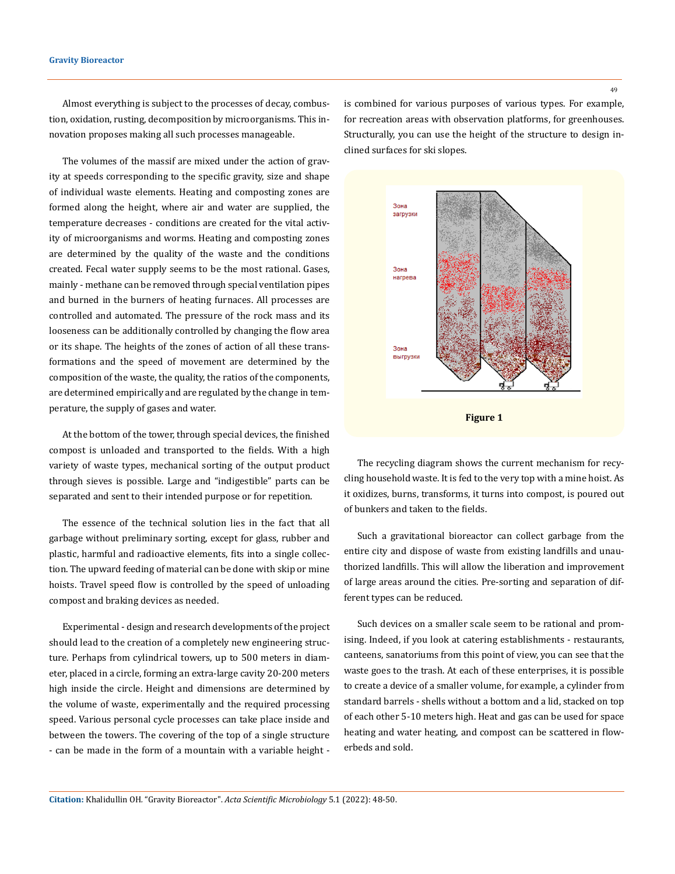#### **Gravity Bioreactor**

Almost everything is subject to the processes of decay, combustion, oxidation, rusting, decomposition by microorganisms. This innovation proposes making all such processes manageable.

The volumes of the massif are mixed under the action of gravity at speeds corresponding to the specific gravity, size and shape of individual waste elements. Heating and composting zones are formed along the height, where air and water are supplied, the temperature decreases - conditions are created for the vital activity of microorganisms and worms. Heating and composting zones are determined by the quality of the waste and the conditions created. Fecal water supply seems to be the most rational. Gases, mainly - methane can be removed through special ventilation pipes and burned in the burners of heating furnaces. All processes are controlled and automated. The pressure of the rock mass and its looseness can be additionally controlled by changing the flow area or its shape. The heights of the zones of action of all these transformations and the speed of movement are determined by the composition of the waste, the quality, the ratios of the components, are determined empirically and are regulated by the change in temperature, the supply of gases and water.

At the bottom of the tower, through special devices, the finished compost is unloaded and transported to the fields. With a high variety of waste types, mechanical sorting of the output product through sieves is possible. Large and "indigestible" parts can be separated and sent to their intended purpose or for repetition.

The essence of the technical solution lies in the fact that all garbage without preliminary sorting, except for glass, rubber and plastic, harmful and radioactive elements, fits into a single collection. The upward feeding of material can be done with skip or mine hoists. Travel speed flow is controlled by the speed of unloading compost and braking devices as needed.

Experimental - design and research developments of the project should lead to the creation of a completely new engineering structure. Perhaps from cylindrical towers, up to 500 meters in diameter, placed in a circle, forming an extra-large cavity 20-200 meters high inside the circle. Height and dimensions are determined by the volume of waste, experimentally and the required processing speed. Various personal cycle processes can take place inside and between the towers. The covering of the top of a single structure - can be made in the form of a mountain with a variable height - is combined for various purposes of various types. For example, for recreation areas with observation platforms, for greenhouses. Structurally, you can use the height of the structure to design inclined surfaces for ski slopes.





The recycling diagram shows the current mechanism for recycling household waste. It is fed to the very top with a mine hoist. As it oxidizes, burns, transforms, it turns into compost, is poured out of bunkers and taken to the fields.

Such a gravitational bioreactor can collect garbage from the entire city and dispose of waste from existing landfills and unauthorized landfills. This will allow the liberation and improvement of large areas around the cities. Pre-sorting and separation of different types can be reduced.

Such devices on a smaller scale seem to be rational and promising. Indeed, if you look at catering establishments - restaurants, canteens, sanatoriums from this point of view, you can see that the waste goes to the trash. At each of these enterprises, it is possible to create a device of a smaller volume, for example, a cylinder from standard barrels - shells without a bottom and a lid, stacked on top of each other 5-10 meters high. Heat and gas can be used for space heating and water heating, and compost can be scattered in flowerbeds and sold.

**Citation:** Khalidullin OH*.* "Gravity Bioreactor". *Acta Scientific Microbiology* 5.1 (2022): 48-50.

49